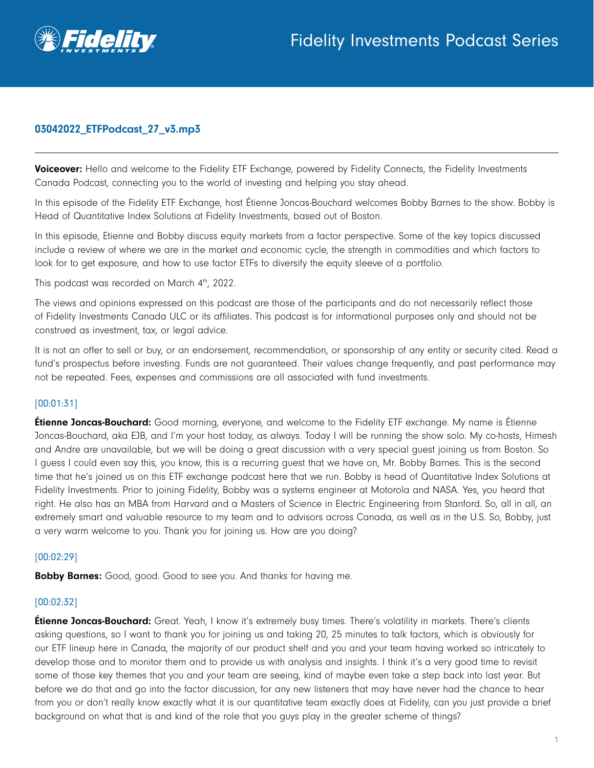# 03042022\_ETFPodcast\_27\_v3.mp3

Voiceover: Hello and welcome to the Fidelity ETF Exchange, powered by Fidelity Connects, the Fidelity Investments Canada Podcast, connecting you to the world of investing and helping you stay ahead.

In this episode of the Fidelity ETF Exchange, host Étienne Joncas-Bouchard welcomes Bobby Barnes to the show. Bobby is Head of Quantitative Index Solutions at Fidelity Investments, based out of Boston.

In this episode, Etienne and Bobby discuss equity markets from a factor perspective. Some of the key topics discussed include a review of where we are in the market and economic cycle, the strength in commodities and which factors to look for to get exposure, and how to use factor ETFs to diversify the equity sleeve of a portfolio.

This podcast was recorded on March 4<sup>th</sup>, 2022.

The views and opinions expressed on this podcast are those of the participants and do not necessarily reflect those of Fidelity Investments Canada ULC or its affiliates. This podcast is for informational purposes only and should not be construed as investment, tax, or legal advice.

It is not an offer to sell or buy, or an endorsement, recommendation, or sponsorship of any entity or security cited. Read a fund's prospectus before investing. Funds are not guaranteed. Their values change frequently, and past performance may not be repeated. Fees, expenses and commissions are all associated with fund investments.

# [00:01:31]

**Étienne Joncas-Bouchard:** Good morning, everyone, and welcome to the Fidelity ETF exchange. My name is Étienne Joncas-Bouchard, aka EJB, and I'm your host today, as always. Today I will be running the show solo. My co-hosts, Himesh and Andre are unavailable, but we will be doing a great discussion with a very special guest joining us from Boston. So I guess I could even say this, you know, this is a recurring guest that we have on, Mr. Bobby Barnes. This is the second time that he's joined us on this ETF exchange podcast here that we run. Bobby is head of Quantitative Index Solutions at Fidelity Investments. Prior to joining Fidelity, Bobby was a systems engineer at Motorola and NASA. Yes, you heard that right. He also has an MBA from Harvard and a Masters of Science in Electric Engineering from Stanford. So, all in all, an extremely smart and valuable resource to my team and to advisors across Canada, as well as in the U.S. So, Bobby, just a very warm welcome to you. Thank you for joining us. How are you doing?

## [00:02:29]

Bobby Barnes: Good, good. Good to see you. And thanks for having me.

## [00:02:32]

**Etienne Joncas-Bouchard:** Great. Yeah, I know it's extremely busy times. There's volatility in markets. There's clients asking questions, so I want to thank you for joining us and taking 20, 25 minutes to talk factors, which is obviously for our ETF lineup here in Canada, the majority of our product shelf and you and your team having worked so intricately to develop those and to monitor them and to provide us with analysis and insights. I think it's a very good time to revisit some of those key themes that you and your team are seeing, kind of maybe even take a step back into last year. But before we do that and go into the factor discussion, for any new listeners that may have never had the chance to hear from you or don't really know exactly what it is our quantitative team exactly does at Fidelity, can you just provide a brief background on what that is and kind of the role that you guys play in the greater scheme of things?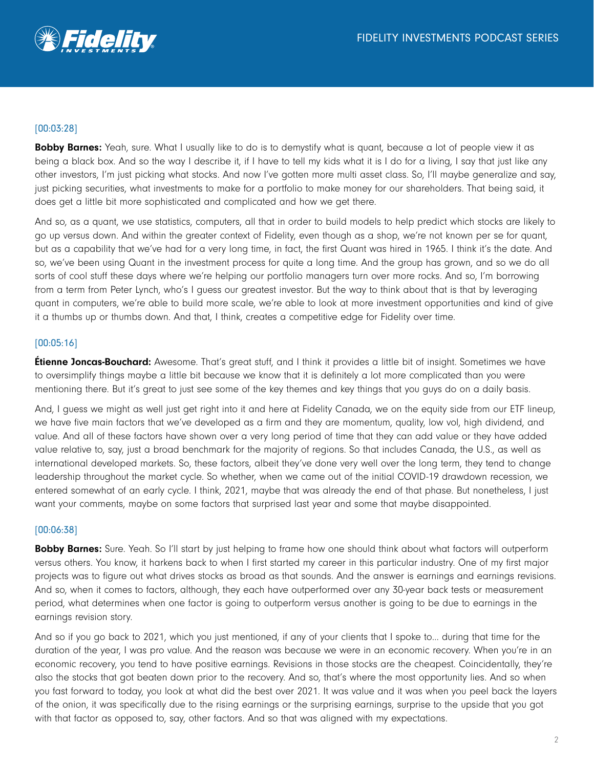

# [00:03:28]

Bobby Barnes: Yeah, sure. What I usually like to do is to demystify what is quant, because a lot of people view it as being a black box. And so the way I describe it, if I have to tell my kids what it is I do for a living, I say that just like any other investors, I'm just picking what stocks. And now I've gotten more multi asset class. So, I'll maybe generalize and say, just picking securities, what investments to make for a portfolio to make money for our shareholders. That being said, it does get a little bit more sophisticated and complicated and how we get there.

And so, as a quant, we use statistics, computers, all that in order to build models to help predict which stocks are likely to go up versus down. And within the greater context of Fidelity, even though as a shop, we're not known per se for quant, but as a capability that we've had for a very long time, in fact, the first Quant was hired in 1965. I think it's the date. And so, we've been using Quant in the investment process for quite a long time. And the group has grown, and so we do all sorts of cool stuff these days where we're helping our portfolio managers turn over more rocks. And so, I'm borrowing from a term from Peter Lynch, who's I guess our greatest investor. But the way to think about that is that by leveraging quant in computers, we're able to build more scale, we're able to look at more investment opportunities and kind of give it a thumbs up or thumbs down. And that, I think, creates a competitive edge for Fidelity over time.

## [00:05:16]

**Étienne Joncas-Bouchard:** Awesome. That's great stuff, and I think it provides a little bit of insight. Sometimes we have to oversimplify things maybe a little bit because we know that it is definitely a lot more complicated than you were mentioning there. But it's great to just see some of the key themes and key things that you guys do on a daily basis.

And, I guess we might as well just get right into it and here at Fidelity Canada, we on the equity side from our ETF lineup, we have five main factors that we've developed as a firm and they are momentum, quality, low vol, high dividend, and value. And all of these factors have shown over a very long period of time that they can add value or they have added value relative to, say, just a broad benchmark for the majority of regions. So that includes Canada, the U.S., as well as international developed markets. So, these factors, albeit they've done very well over the long term, they tend to change leadership throughout the market cycle. So whether, when we came out of the initial COVID-19 drawdown recession, we entered somewhat of an early cycle. I think, 2021, maybe that was already the end of that phase. But nonetheless, I just want your comments, maybe on some factors that surprised last year and some that maybe disappointed.

## [00:06:38]

Bobby Barnes: Sure. Yeah. So I'll start by just helping to frame how one should think about what factors will outperform versus others. You know, it harkens back to when I first started my career in this particular industry. One of my first major projects was to figure out what drives stocks as broad as that sounds. And the answer is earnings and earnings revisions. And so, when it comes to factors, although, they each have outperformed over any 30-year back tests or measurement period, what determines when one factor is going to outperform versus another is going to be due to earnings in the earnings revision story.

And so if you go back to 2021, which you just mentioned, if any of your clients that I spoke to… during that time for the duration of the year, I was pro value. And the reason was because we were in an economic recovery. When you're in an economic recovery, you tend to have positive earnings. Revisions in those stocks are the cheapest. Coincidentally, they're also the stocks that got beaten down prior to the recovery. And so, that's where the most opportunity lies. And so when you fast forward to today, you look at what did the best over 2021. It was value and it was when you peel back the layers of the onion, it was specifically due to the rising earnings or the surprising earnings, surprise to the upside that you got with that factor as opposed to, say, other factors. And so that was aligned with my expectations.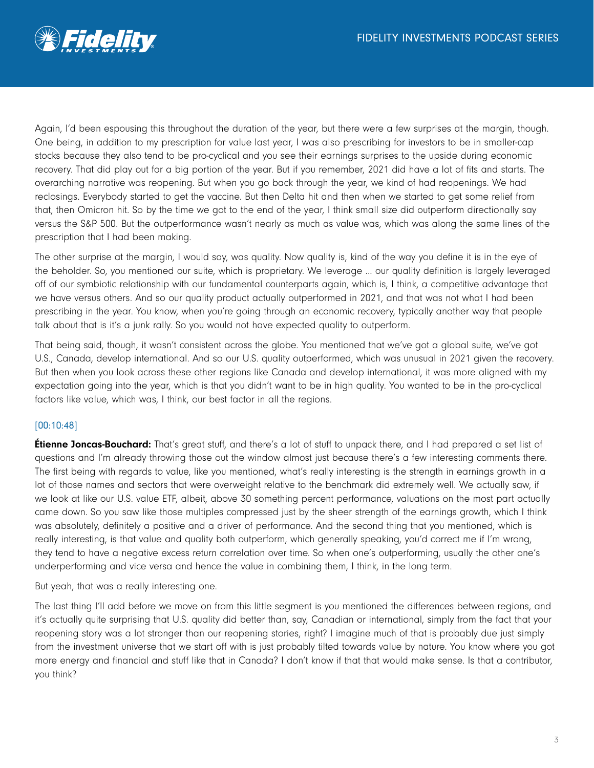

Again, I'd been espousing this throughout the duration of the year, but there were a few surprises at the margin, though. One being, in addition to my prescription for value last year, I was also prescribing for investors to be in smaller-cap stocks because they also tend to be pro-cyclical and you see their earnings surprises to the upside during economic recovery. That did play out for a big portion of the year. But if you remember, 2021 did have a lot of fits and starts. The overarching narrative was reopening. But when you go back through the year, we kind of had reopenings. We had reclosings. Everybody started to get the vaccine. But then Delta hit and then when we started to get some relief from that, then Omicron hit. So by the time we got to the end of the year, I think small size did outperform directionally say versus the S&P 500. But the outperformance wasn't nearly as much as value was, which was along the same lines of the prescription that I had been making.

The other surprise at the margin, I would say, was quality. Now quality is, kind of the way you define it is in the eye of the beholder. So, you mentioned our suite, which is proprietary. We leverage ... our quality definition is largely leveraged off of our symbiotic relationship with our fundamental counterparts again, which is, I think, a competitive advantage that we have versus others. And so our quality product actually outperformed in 2021, and that was not what I had been prescribing in the year. You know, when you're going through an economic recovery, typically another way that people talk about that is it's a junk rally. So you would not have expected quality to outperform.

That being said, though, it wasn't consistent across the globe. You mentioned that we've got a global suite, we've got U.S., Canada, develop international. And so our U.S. quality outperformed, which was unusual in 2021 given the recovery. But then when you look across these other regions like Canada and develop international, it was more aligned with my expectation going into the year, which is that you didn't want to be in high quality. You wanted to be in the pro-cyclical factors like value, which was, I think, our best factor in all the regions.

## [00:10:48]

**Étienne Joncas-Bouchard:** That's great stuff, and there's a lot of stuff to unpack there, and I had prepared a set list of questions and I'm already throwing those out the window almost just because there's a few interesting comments there. The first being with regards to value, like you mentioned, what's really interesting is the strength in earnings growth in a lot of those names and sectors that were overweight relative to the benchmark did extremely well. We actually saw, if we look at like our U.S. value ETF, albeit, above 30 something percent performance, valuations on the most part actually came down. So you saw like those multiples compressed just by the sheer strength of the earnings growth, which I think was absolutely, definitely a positive and a driver of performance. And the second thing that you mentioned, which is really interesting, is that value and quality both outperform, which generally speaking, you'd correct me if I'm wrong, they tend to have a negative excess return correlation over time. So when one's outperforming, usually the other one's underperforming and vice versa and hence the value in combining them, I think, in the long term.

But yeah, that was a really interesting one.

The last thing I'll add before we move on from this little segment is you mentioned the differences between regions, and it's actually quite surprising that U.S. quality did better than, say, Canadian or international, simply from the fact that your reopening story was a lot stronger than our reopening stories, right? I imagine much of that is probably due just simply from the investment universe that we start off with is just probably tilted towards value by nature. You know where you got more energy and financial and stuff like that in Canada? I don't know if that that would make sense. Is that a contributor, you think?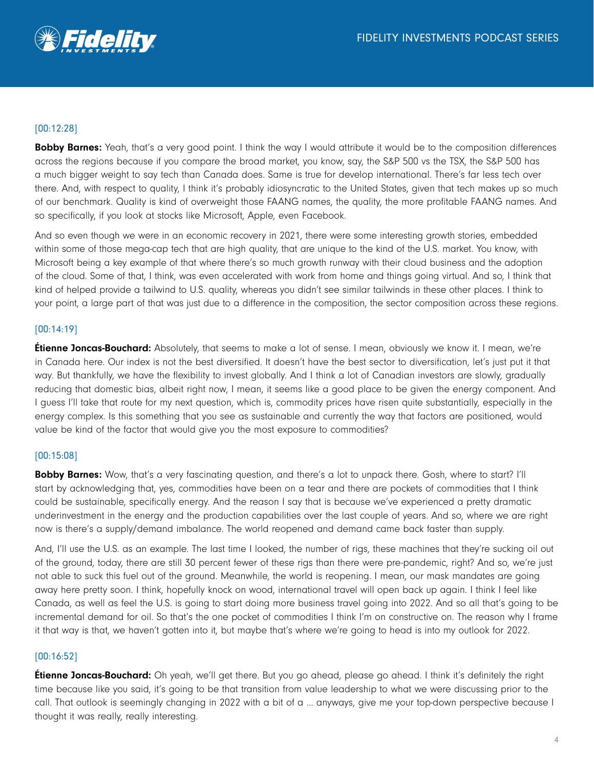

# [00:12:28]

**Bobby Barnes:** Yeah, that's a very good point. I think the way I would attribute it would be to the composition differences across the regions because if you compare the broad market, you know, say, the S&P 500 vs the TSX, the S&P 500 has a much bigger weight to say tech than Canada does. Same is true for develop international. There's far less tech over there. And, with respect to quality, I think it's probably idiosyncratic to the United States, given that tech makes up so much of our benchmark. Quality is kind of overweight those FAANG names, the quality, the more profitable FAANG names. And so specifically, if you look at stocks like Microsoft, Apple, even Facebook.

And so even though we were in an economic recovery in 2021, there were some interesting growth stories, embedded within some of those mega-cap tech that are high quality, that are unique to the kind of the U.S. market. You know, with Microsoft being a key example of that where there's so much growth runway with their cloud business and the adoption of the cloud. Some of that, I think, was even accelerated with work from home and things going virtual. And so, I think that kind of helped provide a tailwind to U.S. quality, whereas you didn't see similar tailwinds in these other places. I think to your point, a large part of that was just due to a difference in the composition, the sector composition across these regions.

## [00:14:19]

**Étienne Joncas-Bouchard:** Absolutely, that seems to make a lot of sense. I mean, obviously we know it. I mean, we're in Canada here. Our index is not the best diversified. It doesn't have the best sector to diversification, let's just put it that way. But thankfully, we have the flexibility to invest globally. And I think a lot of Canadian investors are slowly, gradually reducing that domestic bias, albeit right now, I mean, it seems like a good place to be given the energy component. And I guess I'll take that route for my next question, which is, commodity prices have risen quite substantially, especially in the energy complex. Is this something that you see as sustainable and currently the way that factors are positioned, would value be kind of the factor that would give you the most exposure to commodities?

## [00:15:08]

Bobby Barnes: Wow, that's a very fascinating question, and there's a lot to unpack there. Gosh, where to start? I'll start by acknowledging that, yes, commodities have been on a tear and there are pockets of commodities that I think could be sustainable, specifically energy. And the reason I say that is because we've experienced a pretty dramatic underinvestment in the energy and the production capabilities over the last couple of years. And so, where we are right now is there's a supply/demand imbalance. The world reopened and demand came back faster than supply.

And, I'll use the U.S. as an example. The last time I looked, the number of rigs, these machines that they're sucking oil out of the ground, today, there are still 30 percent fewer of these rigs than there were pre-pandemic, right? And so, we're just not able to suck this fuel out of the ground. Meanwhile, the world is reopening. I mean, our mask mandates are going away here pretty soon. I think, hopefully knock on wood, international travel will open back up again. I think I feel like Canada, as well as feel the U.S. is going to start doing more business travel going into 2022. And so all that's going to be incremental demand for oil. So that's the one pocket of commodities I think I'm on constructive on. The reason why I frame it that way is that, we haven't gotten into it, but maybe that's where we're going to head is into my outlook for 2022.

# [00:16:52]

**Étienne Joncas-Bouchard:** Oh yeah, we'll get there. But you go ahead, please go ahead. I think it's definitely the right time because like you said, it's going to be that transition from value leadership to what we were discussing prior to the call. That outlook is seemingly changing in 2022 with a bit of a ... anyways, give me your top-down perspective because I thought it was really, really interesting.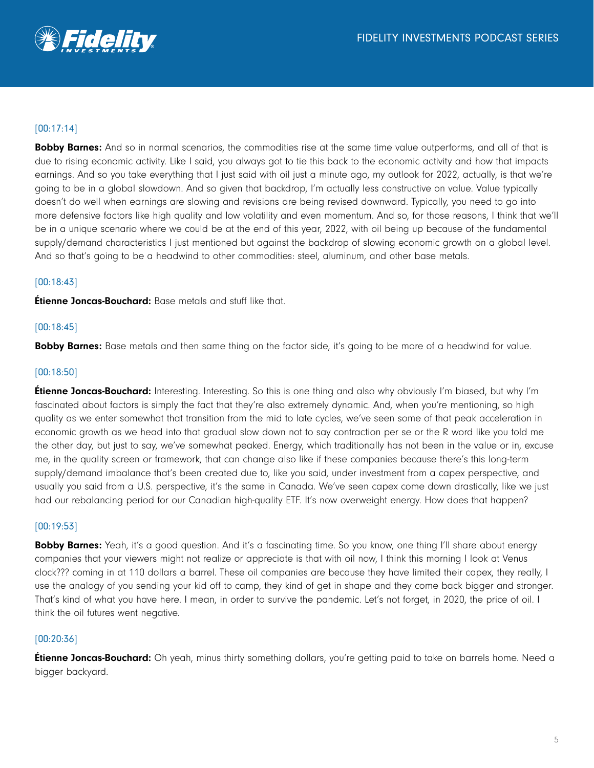

# [00:17:14]

Bobby Barnes: And so in normal scenarios, the commodities rise at the same time value outperforms, and all of that is due to rising economic activity. Like I said, you always got to tie this back to the economic activity and how that impacts earnings. And so you take everything that I just said with oil just a minute ago, my outlook for 2022, actually, is that we're going to be in a global slowdown. And so given that backdrop, I'm actually less constructive on value. Value typically doesn't do well when earnings are slowing and revisions are being revised downward. Typically, you need to go into more defensive factors like high quality and low volatility and even momentum. And so, for those reasons, I think that we'll be in a unique scenario where we could be at the end of this year, 2022, with oil being up because of the fundamental supply/demand characteristics I just mentioned but against the backdrop of slowing economic growth on a global level. And so that's going to be a headwind to other commodities: steel, aluminum, and other base metals.

## [00:18:43]

**Étienne Joncas-Bouchard:** Base metals and stuff like that.

## [00:18:45]

Bobby Barnes: Base metals and then same thing on the factor side, it's going to be more of a headwind for value.

## [00:18:50]

**Etienne Joncas-Bouchard:** Interesting. Interesting. So this is one thing and also why obviously I'm biased, but why I'm fascinated about factors is simply the fact that they're also extremely dynamic. And, when you're mentioning, so high quality as we enter somewhat that transition from the mid to late cycles, we've seen some of that peak acceleration in economic growth as we head into that gradual slow down not to say contraction per se or the R word like you told me the other day, but just to say, we've somewhat peaked. Energy, which traditionally has not been in the value or in, excuse me, in the quality screen or framework, that can change also like if these companies because there's this long-term supply/demand imbalance that's been created due to, like you said, under investment from a capex perspective, and usually you said from a U.S. perspective, it's the same in Canada. We've seen capex come down drastically, like we just had our rebalancing period for our Canadian high-quality ETF. It's now overweight energy. How does that happen?

#### [00:19:53]

**Bobby Barnes:** Yeah, it's a good question. And it's a fascinating time. So you know, one thing I'll share about energy companies that your viewers might not realize or appreciate is that with oil now, I think this morning I look at Venus clock??? coming in at 110 dollars a barrel. These oil companies are because they have limited their capex, they really, I use the analogy of you sending your kid off to camp, they kind of get in shape and they come back bigger and stronger. That's kind of what you have here. I mean, in order to survive the pandemic. Let's not forget, in 2020, the price of oil. I think the oil futures went negative.

## [00:20:36]

**Étienne Joncas-Bouchard:** Oh yeah, minus thirty something dollars, you're getting paid to take on barrels home. Need a bigger backyard.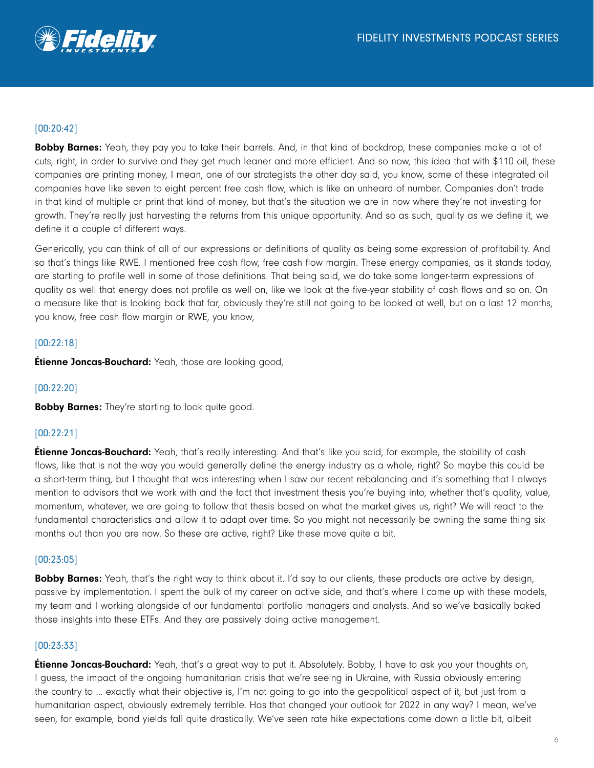

# [00:20:42]

Bobby Barnes: Yeah, they pay you to take their barrels. And, in that kind of backdrop, these companies make a lot of cuts, right, in order to survive and they get much leaner and more efficient. And so now, this idea that with \$110 oil, these companies are printing money, I mean, one of our strategists the other day said, you know, some of these integrated oil companies have like seven to eight percent free cash flow, which is like an unheard of number. Companies don't trade in that kind of multiple or print that kind of money, but that's the situation we are in now where they're not investing for growth. They're really just harvesting the returns from this unique opportunity. And so as such, quality as we define it, we define it a couple of different ways.

Generically, you can think of all of our expressions or definitions of quality as being some expression of profitability. And so that's things like RWE. I mentioned free cash flow, free cash flow margin. These energy companies, as it stands today, are starting to profile well in some of those definitions. That being said, we do take some longer-term expressions of quality as well that energy does not profile as well on, like we look at the five-year stability of cash flows and so on. On a measure like that is looking back that far, obviously they're still not going to be looked at well, but on a last 12 months, you know, free cash flow margin or RWE, you know,

## [00:22:18]

**Étienne Joncas-Bouchard:** Yeah, those are looking good,

## [00:22:20]

**Bobby Barnes:** They're starting to look quite good.

## [00:22:21]

**Étienne Joncas-Bouchard:** Yeah, that's really interesting. And that's like you said, for example, the stability of cash flows, like that is not the way you would generally define the energy industry as a whole, right? So maybe this could be a short-term thing, but I thought that was interesting when I saw our recent rebalancing and it's something that I always mention to advisors that we work with and the fact that investment thesis you're buying into, whether that's quality, value, momentum, whatever, we are going to follow that thesis based on what the market gives us, right? We will react to the fundamental characteristics and allow it to adapt over time. So you might not necessarily be owning the same thing six months out than you are now. So these are active, right? Like these move quite a bit.

## [00:23:05]

**Bobby Barnes:** Yeah, that's the right way to think about it. I'd say to our clients, these products are active by design, passive by implementation. I spent the bulk of my career on active side, and that's where I came up with these models, my team and I working alongside of our fundamental portfolio managers and analysts. And so we've basically baked those insights into these ETFs. And they are passively doing active management.

## [00:23:33]

**Étienne Joncas-Bouchard:** Yeah, that's a great way to put it. Absolutely. Bobby, I have to ask you your thoughts on, I guess, the impact of the ongoing humanitarian crisis that we're seeing in Ukraine, with Russia obviously entering the country to ... exactly what their objective is, I'm not going to go into the geopolitical aspect of it, but just from a humanitarian aspect, obviously extremely terrible. Has that changed your outlook for 2022 in any way? I mean, we've seen, for example, bond yields fall quite drastically. We've seen rate hike expectations come down a little bit, albeit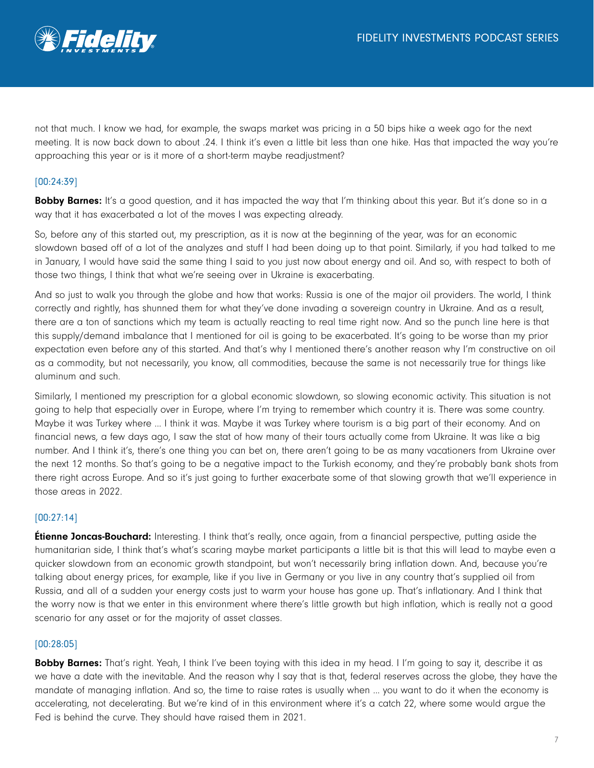

not that much. I know we had, for example, the swaps market was pricing in a 50 bips hike a week ago for the next meeting. It is now back down to about .24. I think it's even a little bit less than one hike. Has that impacted the way you're approaching this year or is it more of a short-term maybe readjustment?

# [00:24:39]

**Bobby Barnes:** It's a good question, and it has impacted the way that I'm thinking about this year. But it's done so in a way that it has exacerbated a lot of the moves I was expecting already.

So, before any of this started out, my prescription, as it is now at the beginning of the year, was for an economic slowdown based off of a lot of the analyzes and stuff I had been doing up to that point. Similarly, if you had talked to me in January, I would have said the same thing I said to you just now about energy and oil. And so, with respect to both of those two things, I think that what we're seeing over in Ukraine is exacerbating.

And so just to walk you through the globe and how that works: Russia is one of the major oil providers. The world, I think correctly and rightly, has shunned them for what they've done invading a sovereign country in Ukraine. And as a result, there are a ton of sanctions which my team is actually reacting to real time right now. And so the punch line here is that this supply/demand imbalance that I mentioned for oil is going to be exacerbated. It's going to be worse than my prior expectation even before any of this started. And that's why I mentioned there's another reason why I'm constructive on oil as a commodity, but not necessarily, you know, all commodities, because the same is not necessarily true for things like aluminum and such.

Similarly, I mentioned my prescription for a global economic slowdown, so slowing economic activity. This situation is not going to help that especially over in Europe, where I'm trying to remember which country it is. There was some country. Maybe it was Turkey where ... I think it was. Maybe it was Turkey where tourism is a big part of their economy. And on financial news, a few days ago, I saw the stat of how many of their tours actually come from Ukraine. It was like a big number. And I think it's, there's one thing you can bet on, there aren't going to be as many vacationers from Ukraine over the next 12 months. So that's going to be a negative impact to the Turkish economy, and they're probably bank shots from there right across Europe. And so it's just going to further exacerbate some of that slowing growth that we'll experience in those areas in 2022.

## [00:27:14]

**Étienne Joncas-Bouchard:** Interesting. I think that's really, once again, from a financial perspective, putting aside the humanitarian side, I think that's what's scaring maybe market participants a little bit is that this will lead to maybe even a quicker slowdown from an economic growth standpoint, but won't necessarily bring inflation down. And, because you're talking about energy prices, for example, like if you live in Germany or you live in any country that's supplied oil from Russia, and all of a sudden your energy costs just to warm your house has gone up. That's inflationary. And I think that the worry now is that we enter in this environment where there's little growth but high inflation, which is really not a good scenario for any asset or for the majority of asset classes.

## [00:28:05]

**Bobby Barnes:** That's right. Yeah, I think I've been toying with this idea in my head. I I'm going to say it, describe it as we have a date with the inevitable. And the reason why I say that is that, federal reserves across the globe, they have the mandate of managing inflation. And so, the time to raise rates is usually when ... you want to do it when the economy is accelerating, not decelerating. But we're kind of in this environment where it's a catch 22, where some would argue the Fed is behind the curve. They should have raised them in 2021.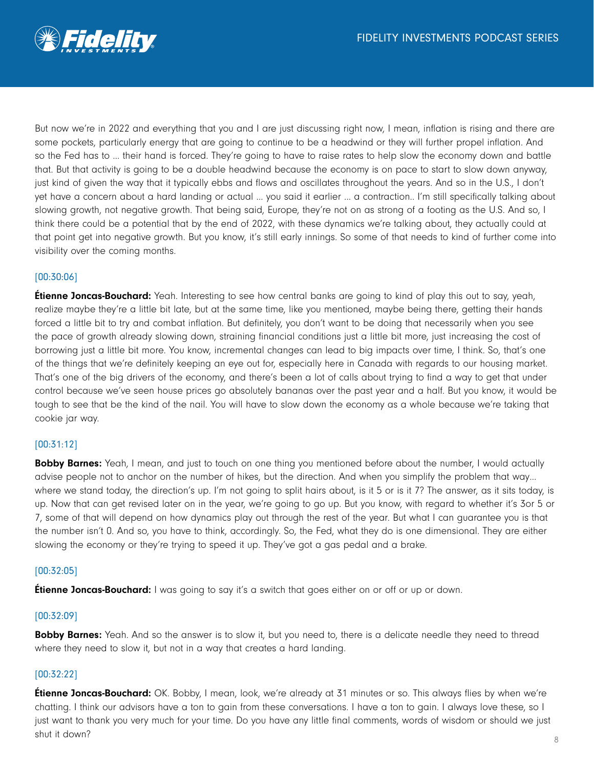

But now we're in 2022 and everything that you and I are just discussing right now, I mean, inflation is rising and there are some pockets, particularly energy that are going to continue to be a headwind or they will further propel inflation. And so the Fed has to ... their hand is forced. They're going to have to raise rates to help slow the economy down and battle that. But that activity is going to be a double headwind because the economy is on pace to start to slow down anyway, just kind of given the way that it typically ebbs and flows and oscillates throughout the years. And so in the U.S., I don't yet have a concern about a hard landing or actual ... you said it earlier ... a contraction.. I'm still specifically talking about slowing growth, not negative growth. That being said, Europe, they're not on as strong of a footing as the U.S. And so, I think there could be a potential that by the end of 2022, with these dynamics we're talking about, they actually could at that point get into negative growth. But you know, it's still early innings. So some of that needs to kind of further come into visibility over the coming months.

## [00:30:06]

**Étienne Joncas-Bouchard:** Yeah. Interesting to see how central banks are going to kind of play this out to say, yeah, realize maybe they're a little bit late, but at the same time, like you mentioned, maybe being there, getting their hands forced a little bit to try and combat inflation. But definitely, you don't want to be doing that necessarily when you see the pace of growth already slowing down, straining financial conditions just a little bit more, just increasing the cost of borrowing just a little bit more. You know, incremental changes can lead to big impacts over time, I think. So, that's one of the things that we're definitely keeping an eye out for, especially here in Canada with regards to our housing market. That's one of the big drivers of the economy, and there's been a lot of calls about trying to find a way to get that under control because we've seen house prices go absolutely bananas over the past year and a half. But you know, it would be tough to see that be the kind of the nail. You will have to slow down the economy as a whole because we're taking that cookie jar way.

## [00:31:12]

Bobby Barnes: Yeah, I mean, and just to touch on one thing you mentioned before about the number, I would actually advise people not to anchor on the number of hikes, but the direction. And when you simplify the problem that way… where we stand today, the direction's up. I'm not going to split hairs about, is it 5 or is it 7? The answer, as it sits today, is up. Now that can get revised later on in the year, we're going to go up. But you know, with regard to whether it's 3or 5 or 7, some of that will depend on how dynamics play out through the rest of the year. But what I can guarantee you is that the number isn't 0. And so, you have to think, accordingly. So, the Fed, what they do is one dimensional. They are either slowing the economy or they're trying to speed it up. They've got a gas pedal and a brake.

#### [00:32:05]

**Étienne Joncas-Bouchard:** I was going to say it's a switch that goes either on or off or up or down.

#### [00:32:09]

Bobby Barnes: Yeah. And so the answer is to slow it, but you need to, there is a delicate needle they need to thread where they need to slow it, but not in a way that creates a hard landing.

#### [00:32:22]

**Étienne Joncas-Bouchard:** OK. Bobby, I mean, look, we're already at 31 minutes or so. This always flies by when we're chatting. I think our advisors have a ton to gain from these conversations. I have a ton to gain. I always love these, so I just want to thank you very much for your time. Do you have any little final comments, words of wisdom or should we just shut it down?